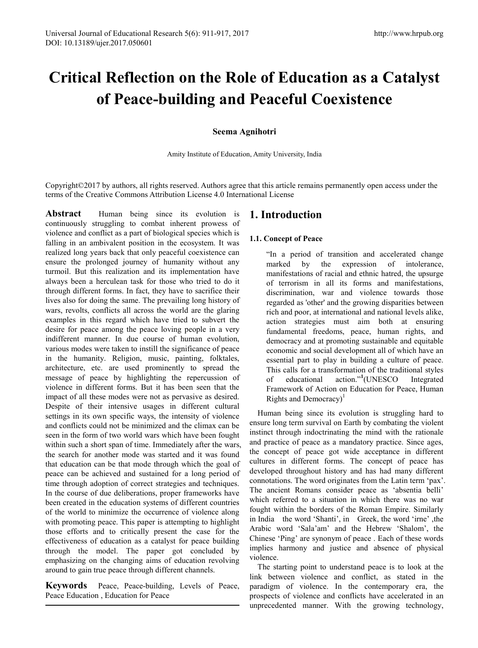# **Critical Reflection on the Role of Education as a Catalyst of Peace-building and Peaceful Coexistence**

# **Seema Agnihotri**

Amity Institute of Education, Amity University, India

Copyright©2017 by authors, all rights reserved. Authors agree that this article remains permanently open access under the terms of the Creative Commons Attribution License 4.0 International License

**Abstract** Human being since its evolution is continuously struggling to combat inherent prowess of violence and conflict as a part of biological species which is falling in an ambivalent position in the ecosystem. It was realized long years back that only peaceful coexistence can ensure the prolonged journey of humanity without any turmoil. But this realization and its implementation have always been a herculean task for those who tried to do it through different forms. In fact, they have to sacrifice their lives also for doing the same. The prevailing long history of wars, revolts, conflicts all across the world are the glaring examples in this regard which have tried to subvert the desire for peace among the peace loving people in a very indifferent manner. In due course of human evolution, various modes were taken to instill the significance of peace in the humanity. Religion, music, painting, folktales, architecture, etc. are used prominently to spread the message of peace by highlighting the repercussion of violence in different forms. But it has been seen that the impact of all these modes were not as pervasive as desired. Despite of their intensive usages in different cultural settings in its own specific ways, the intensity of violence and conflicts could not be minimized and the climax can be seen in the form of two world wars which have been fought within such a short span of time. Immediately after the wars, the search for another mode was started and it was found that education can be that mode through which the goal of peace can be achieved and sustained for a long period of time through adoption of correct strategies and techniques. In the course of due deliberations, proper frameworks have been created in the education systems of different countries of the world to minimize the occurrence of violence along with promoting peace. This paper is attempting to highlight those efforts and to critically present the case for the effectiveness of education as a catalyst for peace building through the model. The paper got concluded by emphasizing on the changing aims of education revolving around to gain true peace through different channels.

**Keywords** Peace, Peace-building, Levels of Peace, Peace Education , Education for Peace

# **1. Introduction**

# **1.1. Concept of Peace**

"In a period of transition and accelerated change marked by the expression of intolerance, manifestations of racial and ethnic hatred, the upsurge of terrorism in all its forms and manifestations, discrimination, war and violence towards those regarded as 'other' and the growing disparities between rich and poor, at international and national levels alike, action strategies must aim both at ensuring fundamental freedoms, peace, human rights, and democracy and at promoting sustainable and equitable economic and social development all of which have an essential part to play in building a culture of peace. This calls for a transformation of the traditional styles of educational <sup>1</sup>(UNESCO Integrated Framework of Action on Education for Peace, Human Rights and Democracy $)^1$ 

Human being since its evolution is struggling hard to ensure long term survival on Earth by combating the violent instinct through indoctrinating the mind with the rationale and practice of peace as a mandatory practice. Since ages, the concept of peace got wide acceptance in different cultures in different forms. The concept of peace has developed throughout history and has had many different connotations. The word originates from the Latin term 'pax'. The ancient Romans consider peace as 'absentia belli' which referred to a situation in which there was no war fought within the borders of the Roman Empire. Similarly in India the word 'Shanti', in Greek, the word 'irne' ,the Arabic word 'Sala'am' and the Hebrew 'Shalom', the Chinese 'Ping' are synonym of peace . Each of these words implies harmony and justice and absence of physical violence.

The starting point to understand peace is to look at the link between violence and conflict, as stated in the paradigm of violence. In the contemporary era, the prospects of violence and conflicts have accelerated in an unprecedented manner. With the growing technology,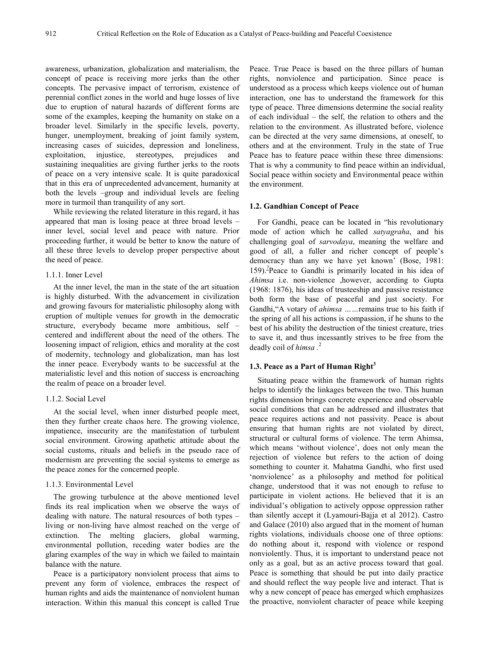awareness, urbanization, globalization and materialism, the concept of peace is receiving more jerks than the other concepts. The pervasive impact of terrorism, existence of perennial conflict zones in the world and huge losses of live due to eruption of natural hazards of different forms are some of the examples, keeping the humanity on stake on a broader level. Similarly in the specific levels, poverty, hunger, unemployment, breaking of joint family system, increasing cases of suicides, depression and loneliness, exploitation, injustice, stereotypes, prejudices and sustaining inequalities are giving further jerks to the roots of peace on a very intensive scale. It is quite paradoxical that in this era of unprecedented advancement, humanity at both the levels –group and individual levels are feeling more in turmoil than tranquility of any sort.

While reviewing the related literature in this regard, it has appeared that man is losing peace at three broad levels – inner level, social level and peace with nature. Prior proceeding further, it would be better to know the nature of all these three levels to develop proper perspective about the need of peace.

#### 1.1.1. Inner Level

At the inner level, the man in the state of the art situation is highly disturbed. With the advancement in civilization and growing favours for materialistic philosophy along with eruption of multiple venues for growth in the democratic structure, everybody became more ambitious, self – centered and indifferent about the need of the others. The loosening impact of religion, ethics and morality at the cost of modernity, technology and globalization, man has lost the inner peace. Everybody wants to be successful at the materialistic level and this notion of success is encroaching the realm of peace on a broader level.

#### 1.1.2. Social Level

At the social level, when inner disturbed people meet, then they further create chaos here. The growing violence, impatience, insecurity are the manifestation of turbulent social environment. Growing apathetic attitude about the social customs, rituals and beliefs in the pseudo race of modernism are preventing the social systems to emerge as the peace zones for the concerned people.

#### 1.1.3. Environmental Level

The growing turbulence at the above mentioned level finds its real implication when we observe the ways of dealing with nature. The natural resources of both types – living or non-living have almost reached on the verge of extinction. The melting glaciers, global warming, environmental pollution, receding water bodies are the glaring examples of the way in which we failed to maintain balance with the nature.

Peace is a participatory nonviolent process that aims to prevent any form of violence, embraces the respect of human rights and aids the maintenance of nonviolent human interaction. Within this manual this concept is called True

Peace. True Peace is based on the three pillars of human rights, nonviolence and participation. Since peace is understood as a process which keeps violence out of human interaction, one has to understand the framework for this type of peace. Three dimensions determine the social reality of each individual – the self, the relation to others and the relation to the environment. As illustrated before, violence can be directed at the very same dimensions, at oneself, to others and at the environment. Truly in the state of True Peace has to feature peace within these three dimensions: That is why a community to find peace within an individual, Social peace within society and Environmental peace within the environment.

#### **1.2. Gandhian Concept of Peace**

For Gandhi, peace can be located in "his revolutionary mode of action which he called *satyagraha*, and his challenging goal of *sarvodaya*, meaning the welfare and good of all, a fuller and richer concept of people's democracy than any we have yet known' (Bose, 1981: 159).*<sup>7</sup>* Peace to Gandhi is primarily located in his idea of *Ahimsa* i.e. non-violence ,however, according to Gupta (1968: 1876), his ideas of trusteeship and passive resistance both form the base of peaceful and just society. For Gandhi,"A votary of *ahimsa ……*remains true to his faith if the spring of all his actions is compassion, if he shuns to the best of his ability the destruction of the tiniest creature, tries to save it, and thus incessantly strives to be free from the deadly coil of *himsa .* 2

#### **1.3. Peace as a Part of Human Right<sup>3</sup>**

Situating peace within the framework of human rights helps to identify the linkages between the two. This human rights dimension brings concrete experience and observable social conditions that can be addressed and illustrates that peace requires actions and not passivity. Peace is about ensuring that human rights are not violated by direct, structural or cultural forms of violence. The term Ahimsa, which means 'without violence', does not only mean the rejection of violence but refers to the action of doing something to counter it. Mahatma Gandhi, who first used 'nonviolence' as a philosophy and method for political change, understood that it was not enough to refuse to participate in violent actions. He believed that it is an individual's obligation to actively oppose oppression rather than silently accept it (Lyamouri-Bajja et al 2012). Castro and Galace (2010) also argued that in the moment of human rights violations, individuals choose one of three options: do nothing about it, respond with violence or respond nonviolently. Thus, it is important to understand peace not only as a goal, but as an active process toward that goal. Peace is something that should be put into daily practice and should reflect the way people live and interact. That is why a new concept of peace has emerged which emphasizes the proactive, nonviolent character of peace while keeping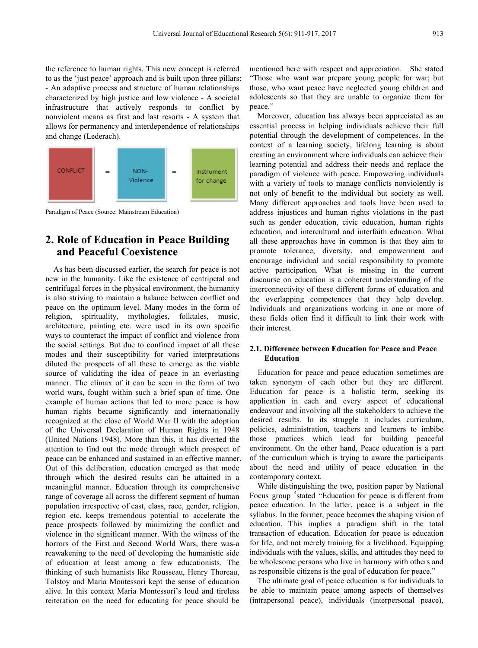the reference to human rights. This new concept is referred to as the 'just peace' approach and is built upon three pillars: - An adaptive process and structure of human relationships characterized by high justice and low violence - A societal infrastructure that actively responds to conflict by nonviolent means as first and last resorts - A system that allows for permanency and interdependence of relationships and change (Lederach).



Paradigm of Peace (Source: Mainstream Education)

# **2. Role of Education in Peace Building and Peaceful Coexistence**

As has been discussed earlier, the search for peace is not new in the humanity. Like the existence of centripetal and centrifugal forces in the physical environment, the humanity is also striving to maintain a balance between conflict and peace on the optimum level. Many modes in the form of religion, spirituality, mythologies, folktales, music, architecture, painting etc. were used in its own specific ways to counteract the impact of conflict and violence from the social settings. But due to confined impact of all these modes and their susceptibility for varied interpretations diluted the prospects of all these to emerge as the viable source of validating the idea of peace in an everlasting manner. The climax of it can be seen in the form of two world wars, fought within such a brief span of time. One example of human actions that led to more peace is how human rights became significantly and internationally recognized at the close of World War II with the adoption of the Universal Declaration of Human Rights in 1948 (United Nations 1948). More than this, it has diverted the attention to find out the mode through which prospect of peace can be enhanced and sustained in an effective manner. Out of this deliberation, education emerged as that mode through which the desired results can be attained in a meaningful manner. Education through its comprehensive range of coverage all across the different segment of human population irrespective of cast, class, race, gender, religion, region etc. keeps tremendous potential to accelerate the peace prospects followed by minimizing the conflict and violence in the significant manner. With the witness of the horrors of the First and Second World Wars, there was-a reawakening to the need of developing the humanistic side of education at least among a few educationists. The thinking of such humanists like Rousseau, Henry Thoreau, Tolstoy and Maria Montessori kept the sense of education alive. In this context Maria Montessori's loud and tireless reiteration on the need for educating for peace should be

mentioned here with respect and appreciation. She stated "Those who want war prepare young people for war; but those, who want peace have neglected young children and adolescents so that they are unable to organize them for peace."

Moreover, education has always been appreciated as an essential process in helping individuals achieve their full potential through the development of competences. In the context of a learning society, lifelong learning is about creating an environment where individuals can achieve their learning potential and address their needs and replace the paradigm of violence with peace. Empowering individuals with a variety of tools to manage conflicts nonviolently is not only of benefit to the individual but society as well. Many different approaches and tools have been used to address injustices and human rights violations in the past such as gender education, civic education, human rights education, and intercultural and interfaith education. What all these approaches have in common is that they aim to promote tolerance, diversity, and empowerment and encourage individual and social responsibility to promote active participation. What is missing in the current discourse on education is a coherent understanding of the interconnectivity of these different forms of education and the overlapping competences that they help develop. Individuals and organizations working in one or more of these fields often find it difficult to link their work with their interest.

# **2.1. Difference between Education for Peace and Peace Education**

Education for peace and peace education sometimes are taken synonym of each other but they are different. Education for peace is a holistic term, seeking its application in each and every aspect of educational endeavour and involving all the stakeholders to achieve the desired results. In its struggle it includes curriculum, policies, administration, teachers and learners to imbibe those practices which lead for building peaceful environment. On the other hand, Peace education is a part of the curriculum which is trying to aware the participants about the need and utility of peace education in the contemporary context.

While distinguishing the two, position paper by National Focus group <sup>4</sup>stated "Education for peace is different from peace education. In the latter, peace is a subject in the syllabus. In the former, peace becomes the shaping vision of education. This implies a paradigm shift in the total transaction of education. Education for peace is education for life, and not merely training for a livelihood. Equipping individuals with the values, skills, and attitudes they need to be wholesome persons who live in harmony with others and as responsible citizens is the goal of education for peace."

The ultimate goal of peace education is for individuals to be able to maintain peace among aspects of themselves (intrapersonal peace), individuals (interpersonal peace),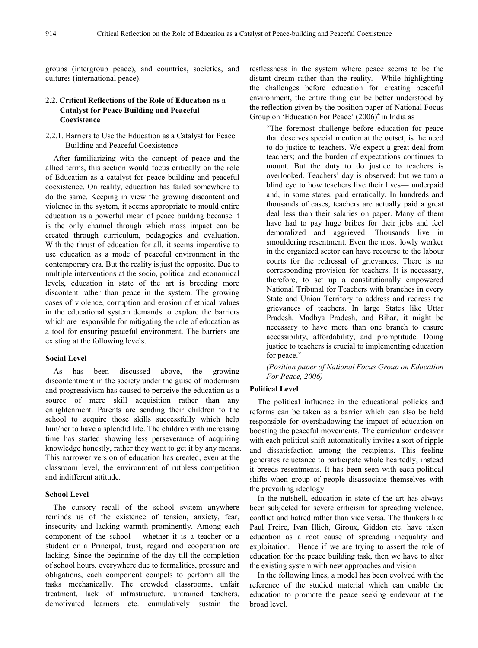groups (intergroup peace), and countries, societies, and cultures (international peace).

# **2.2. Critical Reflections of the Role of Education as a Catalyst for Peace Building and Peaceful Coexistence**

# 2.2.1. Barriers to Use the Education as a Catalyst for Peace Building and Peaceful Coexistence

After familiarizing with the concept of peace and the allied terms, this section would focus critically on the role of Education as a catalyst for peace building and peaceful coexistence. On reality, education has failed somewhere to do the same. Keeping in view the growing discontent and violence in the system, it seems appropriate to mould entire education as a powerful mean of peace building because it is the only channel through which mass impact can be created through curriculum, pedagogies and evaluation. With the thrust of education for all, it seems imperative to use education as a mode of peaceful environment in the contemporary era. But the reality is just the opposite. Due to multiple interventions at the socio, political and economical levels, education in state of the art is breeding more discontent rather than peace in the system. The growing cases of violence, corruption and erosion of ethical values in the educational system demands to explore the barriers which are responsible for mitigating the role of education as a tool for ensuring peaceful environment. The barriers are existing at the following levels.

# **Social Level**

As has been discussed above, the growing discontentment in the society under the guise of modernism and progressivism has caused to perceive the education as a source of mere skill acquisition rather than any enlightenment. Parents are sending their children to the school to acquire those skills successfully which help him/her to have a splendid life. The children with increasing time has started showing less perseverance of acquiring knowledge honestly, rather they want to get it by any means. This narrower version of education has created, even at the classroom level, the environment of ruthless competition and indifferent attitude.

#### **School Level**

The cursory recall of the school system anywhere reminds us of the existence of tension, anxiety, fear, insecurity and lacking warmth prominently. Among each component of the school – whether it is a teacher or a student or a Principal, trust, regard and cooperation are lacking. Since the beginning of the day till the completion of school hours, everywhere due to formalities, pressure and obligations, each component compels to perform all the tasks mechanically. The crowded classrooms, unfair treatment, lack of infrastructure, untrained teachers, demotivated learners etc. cumulatively sustain the

restlessness in the system where peace seems to be the distant dream rather than the reality. While highlighting the challenges before education for creating peaceful environment, the entire thing can be better understood by the reflection given by the position paper of National Focus Group on 'Education For Peace'  $(2006)^4$  in India as

"The foremost challenge before education for peace that deserves special mention at the outset, is the need to do justice to teachers. We expect a great deal from teachers; and the burden of expectations continues to mount. But the duty to do justice to teachers is overlooked. Teachers' day is observed; but we turn a blind eye to how teachers live their lives— underpaid and, in some states, paid erratically. In hundreds and thousands of cases, teachers are actually paid a great deal less than their salaries on paper. Many of them have had to pay huge bribes for their jobs and feel demoralized and aggrieved. Thousands live in smouldering resentment. Even the most lowly worker in the organized sector can have recourse to the labour courts for the redressal of grievances. There is no corresponding provision for teachers. It is necessary, therefore, to set up a constitutionally empowered National Tribunal for Teachers with branches in every State and Union Territory to address and redress the grievances of teachers. In large States like Uttar Pradesh, Madhya Pradesh, and Bihar, it might be necessary to have more than one branch to ensure accessibility, affordability, and promptitude. Doing justice to teachers is crucial to implementing education for peace."

*(Position paper of National Focus Group on Education For Peace, 2006)*

# **Political Level**

The political influence in the educational policies and reforms can be taken as a barrier which can also be held responsible for overshadowing the impact of education on boosting the peaceful movements. The curriculum endeavor with each political shift automatically invites a sort of ripple and dissatisfaction among the recipients. This feeling generates reluctance to participate whole heartedly; instead it breeds resentments. It has been seen with each political shifts when group of people disassociate themselves with the prevailing ideology.

In the nutshell, education in state of the art has always been subjected for severe criticism for spreading violence, conflict and hatred rather than vice versa. The thinkers like Paul Freire, Ivan Illich, Giroux, Giddon etc. have taken education as a root cause of spreading inequality and exploitation. Hence if we are trying to assert the role of education for the peace building task, then we have to alter the existing system with new approaches and vision.

In the following lines, a model has been evolved with the reference of the studied material which can enable the education to promote the peace seeking endevour at the broad level.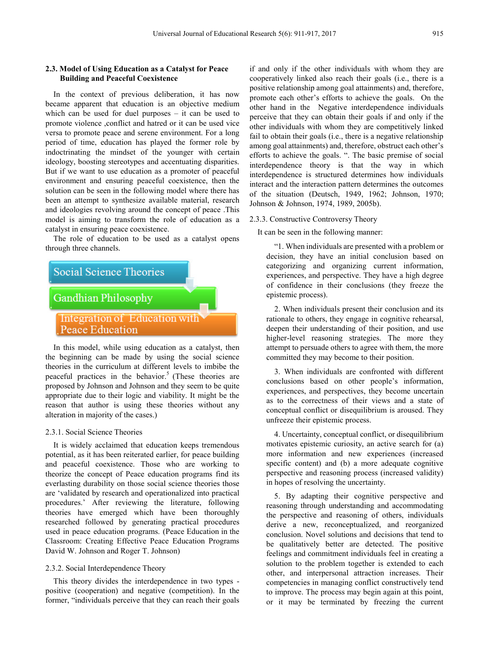## **2.3. Model of Using Education as a Catalyst for Peace Building and Peaceful Coexistence**

In the context of previous deliberation, it has now became apparent that education is an objective medium which can be used for duel purposes – it can be used to promote violence ,conflict and hatred or it can be used vice versa to promote peace and serene environment. For a long period of time, education has played the former role by indoctrinating the mindset of the younger with certain ideology, boosting stereotypes and accentuating disparities. But if we want to use education as a promoter of peaceful environment and ensuring peaceful coexistence, then the solution can be seen in the following model where there has been an attempt to synthesize available material, research and ideologies revolving around the concept of peace .This model is aiming to transform the role of education as a catalyst in ensuring peace coexistence.

The role of education to be used as a catalyst opens through three channels.



the beginning can be made by using the social science theories in the curriculum at different levels to imbibe the peaceful practices in the behavior.<sup>5</sup> (These theories are proposed by Johnson and Johnson and they seem to be quite appropriate due to their logic and viability. It might be the reason that author is using these theories without any alteration in majority of the cases.)

#### 2.3.1. Social Science Theories

It is widely acclaimed that education keeps tremendous potential, as it has been reiterated earlier, for peace building and peaceful coexistence. Those who are working to theorize the concept of Peace education programs find its everlasting durability on those social science theories those are 'validated by research and operationalized into practical procedures.' After reviewing the literature, following theories have emerged which have been thoroughly researched followed by generating practical procedures used in peace education programs. (Peace Education in the Classroom: Creating Effective Peace Education Programs David W. Johnson and Roger T. Johnson)

# 2.3.2. Social Interdependence Theory

This theory divides the interdependence in two types positive (cooperation) and negative (competition). In the former, "individuals perceive that they can reach their goals

if and only if the other individuals with whom they are cooperatively linked also reach their goals (i.e., there is a positive relationship among goal attainments) and, therefore, promote each other's efforts to achieve the goals. On the other hand in the Negative interdependence individuals perceive that they can obtain their goals if and only if the other individuals with whom they are competitively linked fail to obtain their goals (i.e., there is a negative relationship among goal attainments) and, therefore, obstruct each other's efforts to achieve the goals. ". The basic premise of social interdependence theory is that the way in which interdependence is structured determines how individuals interact and the interaction pattern determines the outcomes of the situation (Deutsch, 1949, 1962; Johnson, 1970; Johnson & Johnson, 1974, 1989, 2005b).

#### 2.3.3. Constructive Controversy Theory

It can be seen in the following manner:

"1. When individuals are presented with a problem or decision, they have an initial conclusion based on categorizing and organizing current information, experiences, and perspective. They have a high degree of confidence in their conclusions (they freeze the epistemic process).

2. When individuals present their conclusion and its rationale to others, they engage in cognitive rehearsal, deepen their understanding of their position, and use higher-level reasoning strategies. The more they attempt to persuade others to agree with them, the more committed they may become to their position.

3. When individuals are confronted with different conclusions based on other people's information, experiences, and perspectives, they become uncertain as to the correctness of their views and a state of conceptual conflict or disequilibrium is aroused. They unfreeze their epistemic process.

4. Uncertainty, conceptual conflict, or disequilibrium motivates epistemic curiosity, an active search for (a) more information and new experiences (increased specific content) and (b) a more adequate cognitive perspective and reasoning process (increased validity) in hopes of resolving the uncertainty.

5. By adapting their cognitive perspective and reasoning through understanding and accommodating the perspective and reasoning of others, individuals derive a new, reconceptualized, and reorganized conclusion. Novel solutions and decisions that tend to be qualitatively better are detected. The positive feelings and commitment individuals feel in creating a solution to the problem together is extended to each other, and interpersonal attraction increases. Their competencies in managing conflict constructively tend to improve. The process may begin again at this point, or it may be terminated by freezing the current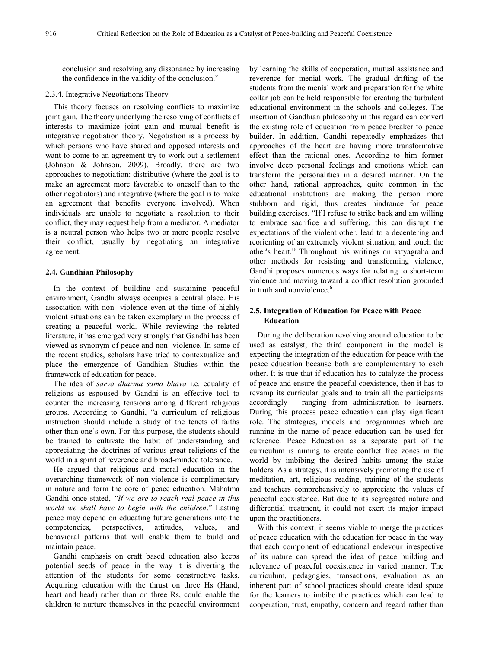conclusion and resolving any dissonance by increasing the confidence in the validity of the conclusion."

### 2.3.4. Integrative Negotiations Theory

This theory focuses on resolving conflicts to maximize joint gain. The theory underlying the resolving of conflicts of interests to maximize joint gain and mutual benefit is integrative negotiation theory. Negotiation is a process by which persons who have shared and opposed interests and want to come to an agreement try to work out a settlement (Johnson & Johnson, 2009). Broadly, there are two approaches to negotiation: distributive (where the goal is to make an agreement more favorable to oneself than to the other negotiators) and integrative (where the goal is to make an agreement that benefits everyone involved). When individuals are unable to negotiate a resolution to their conflict, they may request help from a mediator. A mediator is a neutral person who helps two or more people resolve their conflict, usually by negotiating an integrative agreement.

## **2.4. Gandhian Philosophy**

In the context of building and sustaining peaceful environment, Gandhi always occupies a central place. His association with non- violence even at the time of highly violent situations can be taken exemplary in the process of creating a peaceful world. While reviewing the related literature, it has emerged very strongly that Gandhi has been viewed as synonym of peace and non- violence. In some of the recent studies, scholars have tried to contextualize and place the emergence of Gandhian Studies within the framework of education for peace.

The idea of *sarva dharma sama bhava* i.e. equality of religions as espoused by Gandhi is an effective tool to counter the increasing tensions among different religious groups. According to Gandhi, "a curriculum of religious instruction should include a study of the tenets of faiths other than one's own. For this purpose, the students should be trained to cultivate the habit of understanding and appreciating the doctrines of various great religions of the world in a spirit of reverence and broad-minded tolerance.

He argued that religious and moral education in the overarching framework of non-violence is complimentary in nature and form the core of peace education. Mahatma Gandhi once stated, *"If we are to reach real peace in this world we shall have to begin with the children*." Lasting peace may depend on educating future generations into the competencies, perspectives, attitudes, values, and behavioral patterns that will enable them to build and maintain peace.

Gandhi emphasis on craft based education also keeps potential seeds of peace in the way it is diverting the attention of the students for some constructive tasks. Acquiring education with the thrust on three Hs (Hand, heart and head) rather than on three Rs, could enable the children to nurture themselves in the peaceful environment

by learning the skills of cooperation, mutual assistance and reverence for menial work. The gradual drifting of the students from the menial work and preparation for the white collar job can be held responsible for creating the turbulent educational environment in the schools and colleges. The insertion of Gandhian philosophy in this regard can convert the existing role of education from peace breaker to peace builder. In addition, Gandhi repeatedly emphasizes that approaches of the heart are having more transformative effect than the rational ones. According to him former involve deep personal feelings and emotions which can transform the personalities in a desired manner. On the other hand, rational approaches, quite common in the educational institutions are making the person more stubborn and rigid, thus creates hindrance for peace building exercises. "If I refuse to strike back and am willing to embrace sacrifice and suffering, this can disrupt the expectations of the violent other, lead to a decentering and reorienting of an extremely violent situation, and touch the other's heart." Throughout his writings on satyagraha and other methods for resisting and transforming violence, Gandhi proposes numerous ways for relating to short-term violence and moving toward a conflict resolution grounded in truth and nonviolence  $6$ 

# **2.5. Integration of Education for Peace with Peace Education**

During the deliberation revolving around education to be used as catalyst, the third component in the model is expecting the integration of the education for peace with the peace education because both are complementary to each other. It is true that if education has to catalyze the process of peace and ensure the peaceful coexistence, then it has to revamp its curricular goals and to train all the participants accordingly – ranging from administration to learners. During this process peace education can play significant role. The strategies, models and programmes which are running in the name of peace education can be used for reference. Peace Education as a separate part of the curriculum is aiming to create conflict free zones in the world by imbibing the desired habits among the stake holders. As a strategy, it is intensively promoting the use of meditation, art, religious reading, training of the students and teachers comprehensively to appreciate the values of peaceful coexistence. But due to its segregated nature and differential treatment, it could not exert its major impact upon the practitioners.

With this context, it seems viable to merge the practices of peace education with the education for peace in the way that each component of educational endevour irrespective of its nature can spread the idea of peace building and relevance of peaceful coexistence in varied manner. The curriculum, pedagogies, transactions, evaluation as an inherent part of school practices should create ideal space for the learners to imbibe the practices which can lead to cooperation, trust, empathy, concern and regard rather than